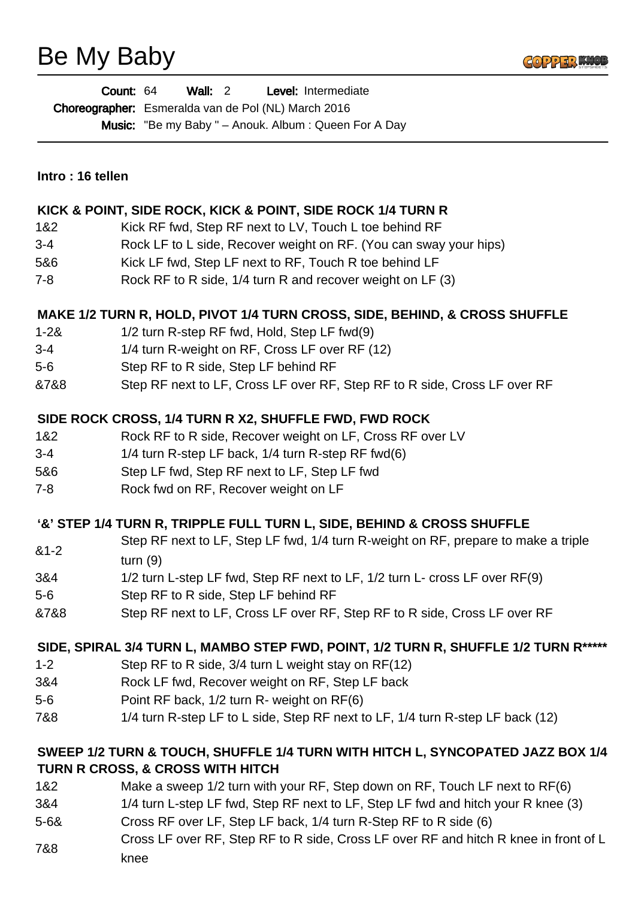# Be My Baby



| <b>Count: 64</b> |                                                            | Wall: 2 |  |  | Level: Intermediate                                         |
|------------------|------------------------------------------------------------|---------|--|--|-------------------------------------------------------------|
|                  | <b>Choreographer:</b> Esmeralda van de Pol (NL) March 2016 |         |  |  |                                                             |
|                  |                                                            |         |  |  | <b>Music:</b> "Be my Baby " – Anouk. Album: Queen For A Day |

#### **KICK & POINT, SIDE ROCK, KICK & POINT, SIDE ROCK 1/4 TURN R**

- 1&2 Kick RF fwd, Step RF next to LV, Touch L toe behind RF
- 3-4 Rock LF to L side, Recover weight on RF. (You can sway your hips)
- 5&6 Kick LF fwd, Step LF next to RF, Touch R toe behind LF
- 7-8 Rock RF to R side, 1/4 turn R and recover weight on LF (3)

#### **MAKE 1/2 TURN R, HOLD, PIVOT 1/4 TURN CROSS, SIDE, BEHIND, & CROSS SHUFFLE**

- 1-2& 1/2 turn R-step RF fwd, Hold, Step LF fwd(9)
- 3-4 1/4 turn R-weight on RF, Cross LF over RF (12)
- 5-6 Step RF to R side, Step LF behind RF
- &7&8 Step RF next to LF, Cross LF over RF, Step RF to R side, Cross LF over RF

# **SIDE ROCK CROSS, 1/4 TURN R X2, SHUFFLE FWD, FWD ROCK**

- 1&2 Rock RF to R side, Recover weight on LF, Cross RF over LV
- 3-4 1/4 turn R-step LF back, 1/4 turn R-step RF fwd(6)
- 5&6 Step LF fwd, Step RF next to LF, Step LF fwd
- 7-8 Rock fwd on RF, Recover weight on LF

#### **'&' STEP 1/4 TURN R, TRIPPLE FULL TURN L, SIDE, BEHIND & CROSS SHUFFLE**

- &1-2 Step RF next to LF, Step LF fwd, 1/4 turn R-weight on RF, prepare to make a triple turn (9)
- 3&4 1/2 turn L-step LF fwd, Step RF next to LF, 1/2 turn L- cross LF over RF(9)
- 5-6 Step RF to R side, Step LF behind RF
- &7&8 Step RF next to LF, Cross LF over RF, Step RF to R side, Cross LF over RF

#### **SIDE, SPIRAL 3/4 TURN L, MAMBO STEP FWD, POINT, 1/2 TURN R, SHUFFLE 1/2 TURN R\*\*\*\*\***

- 1-2 Step RF to R side, 3/4 turn L weight stay on RF(12)
- 3&4 Rock LF fwd, Recover weight on RF, Step LF back
- 5-6 Point RF back, 1/2 turn R- weight on RF(6)
- 7&8 1/4 turn R-step LF to L side, Step RF next to LF, 1/4 turn R-step LF back (12)

# **SWEEP 1/2 TURN & TOUCH, SHUFFLE 1/4 TURN WITH HITCH L, SYNCOPATED JAZZ BOX 1/4 TURN R CROSS, & CROSS WITH HITCH**

- 1&2 Make a sweep 1/2 turn with your RF, Step down on RF, Touch LF next to RF(6)
- 3&4 1/4 turn L-step LF fwd, Step RF next to LF, Step LF fwd and hitch your R knee (3)
- 5-6& Cross RF over LF, Step LF back, 1/4 turn R-Step RF to R side (6)
- 7&8 Cross LF over RF, Step RF to R side, Cross LF over RF and hitch R knee in front of L knee